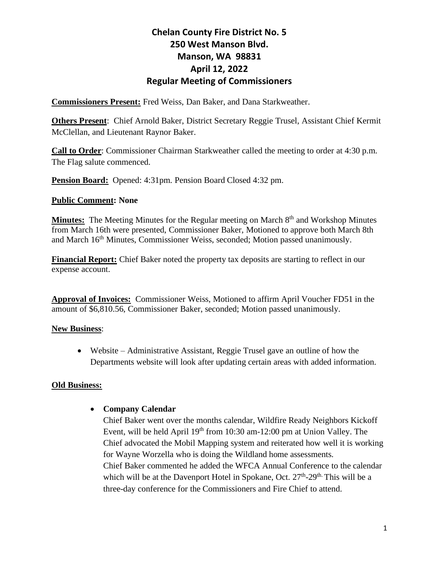**Commissioners Present:** Fred Weiss, Dan Baker, and Dana Starkweather.

**Others Present**: Chief Arnold Baker, District Secretary Reggie Trusel, Assistant Chief Kermit McClellan, and Lieutenant Raynor Baker.

**Call to Order**: Commissioner Chairman Starkweather called the meeting to order at 4:30 p.m. The Flag salute commenced.

**Pension Board:** Opened: 4:31pm. Pension Board Closed 4:32 pm.

#### **Public Comment: None**

**Minutes:** The Meeting Minutes for the Regular meeting on March 8<sup>th</sup> and Workshop Minutes from March 16th were presented, Commissioner Baker, Motioned to approve both March 8th and March 16th Minutes, Commissioner Weiss, seconded; Motion passed unanimously.

**Financial Report:** Chief Baker noted the property tax deposits are starting to reflect in our expense account.

**Approval of Invoices:** Commissioner Weiss, Motioned to affirm April Voucher FD51 in the amount of \$6,810.56, Commissioner Baker, seconded; Motion passed unanimously.

#### **New Business**:

• Website – Administrative Assistant, Reggie Trusel gave an outline of how the Departments website will look after updating certain areas with added information.

#### **Old Business:**

#### • **Company Calendar**

Chief Baker went over the months calendar, Wildfire Ready Neighbors Kickoff Event, will be held April  $19<sup>th</sup>$  from 10:30 am-12:00 pm at Union Valley. The Chief advocated the Mobil Mapping system and reiterated how well it is working for Wayne Worzella who is doing the Wildland home assessments. Chief Baker commented he added the WFCA Annual Conference to the calendar which will be at the Davenport Hotel in Spokane, Oct.  $27<sup>th</sup>$ -29<sup>th.</sup> This will be a three-day conference for the Commissioners and Fire Chief to attend.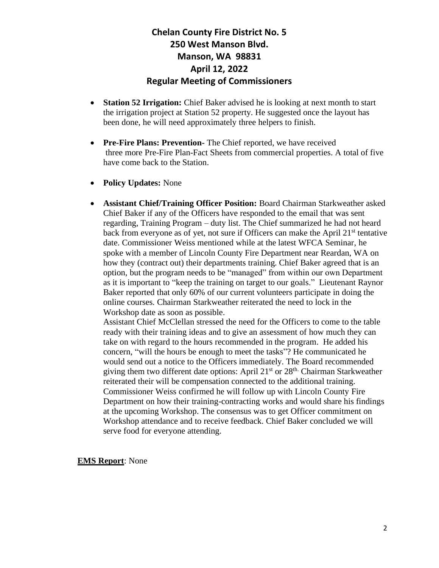- **Station 52 Irrigation:** Chief Baker advised he is looking at next month to start the irrigation project at Station 52 property. He suggested once the layout has been done, he will need approximately three helpers to finish.
- **Pre-Fire Plans: Prevention-** The Chief reported, we have received three more Pre-Fire Plan-Fact Sheets from commercial properties. A total of five have come back to the Station.
- **Policy Updates:** None
- **Assistant Chief/Training Officer Position:** Board Chairman Starkweather asked Chief Baker if any of the Officers have responded to the email that was sent regarding, Training Program – duty list. The Chief summarized he had not heard back from everyone as of yet, not sure if Officers can make the April 21<sup>st</sup> tentative date. Commissioner Weiss mentioned while at the latest WFCA Seminar, he spoke with a member of Lincoln County Fire Department near Reardan, WA on how they (contract out) their departments training. Chief Baker agreed that is an option, but the program needs to be "managed" from within our own Department as it is important to "keep the training on target to our goals." Lieutenant Raynor Baker reported that only 60% of our current volunteers participate in doing the online courses. Chairman Starkweather reiterated the need to lock in the Workshop date as soon as possible.

Assistant Chief McClellan stressed the need for the Officers to come to the table ready with their training ideas and to give an assessment of how much they can take on with regard to the hours recommended in the program. He added his concern, "will the hours be enough to meet the tasks"? He communicated he would send out a notice to the Officers immediately. The Board recommended giving them two different date options: April  $21<sup>st</sup>$  or  $28<sup>th</sup>$ . Chairman Starkweather reiterated their will be compensation connected to the additional training. Commissioner Weiss confirmed he will follow up with Lincoln County Fire Department on how their training-contracting works and would share his findings at the upcoming Workshop. The consensus was to get Officer commitment on Workshop attendance and to receive feedback. Chief Baker concluded we will serve food for everyone attending.

**EMS Report**: None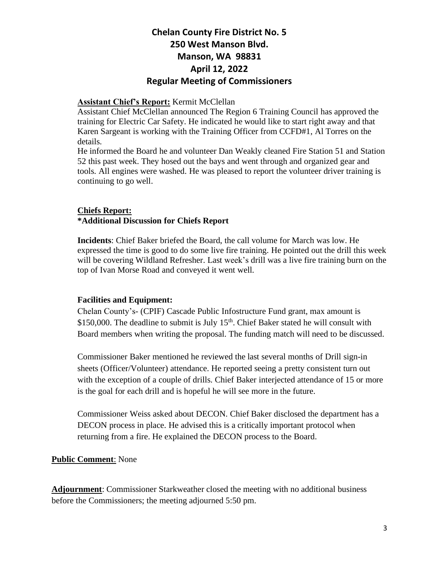#### **Assistant Chief's Report:** Kermit McClellan

Assistant Chief McClellan announced The Region 6 Training Council has approved the training for Electric Car Safety. He indicated he would like to start right away and that Karen Sargeant is working with the Training Officer from CCFD#1, Al Torres on the details.

He informed the Board he and volunteer Dan Weakly cleaned Fire Station 51 and Station 52 this past week. They hosed out the bays and went through and organized gear and tools. All engines were washed. He was pleased to report the volunteer driver training is continuing to go well.

# **Chiefs Report:**

#### **\*Additional Discussion for Chiefs Report**

**Incidents**: Chief Baker briefed the Board, the call volume for March was low. He expressed the time is good to do some live fire training. He pointed out the drill this week will be covering Wildland Refresher. Last week's drill was a live fire training burn on the top of Ivan Morse Road and conveyed it went well.

#### **Facilities and Equipment:**

Chelan County's- (CPIF) Cascade Public Infostructure Fund grant, max amount is  $$150,000$ . The deadline to submit is July  $15<sup>th</sup>$ . Chief Baker stated he will consult with Board members when writing the proposal. The funding match will need to be discussed.

Commissioner Baker mentioned he reviewed the last several months of Drill sign-in sheets (Officer/Volunteer) attendance. He reported seeing a pretty consistent turn out with the exception of a couple of drills. Chief Baker interjected attendance of 15 or more is the goal for each drill and is hopeful he will see more in the future.

Commissioner Weiss asked about DECON. Chief Baker disclosed the department has a DECON process in place. He advised this is a critically important protocol when returning from a fire. He explained the DECON process to the Board.

#### **Public Comment**: None

**Adjournment**: Commissioner Starkweather closed the meeting with no additional business before the Commissioners; the meeting adjourned 5:50 pm.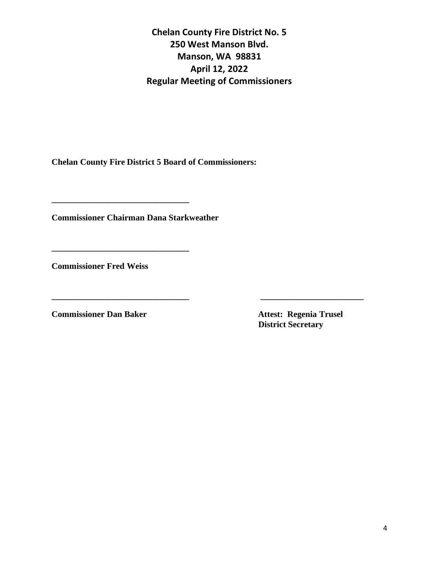**\_\_\_\_\_\_\_\_\_\_\_\_\_\_\_\_\_\_\_\_\_\_\_\_\_\_\_\_\_\_\_\_ \_\_\_\_\_\_\_\_\_\_\_\_\_\_\_\_\_\_\_\_\_\_\_\_**

**Chelan County Fire District 5 Board of Commissioners:**

**Commissioner Chairman Dana Starkweather**

**\_\_\_\_\_\_\_\_\_\_\_\_\_\_\_\_\_\_\_\_\_\_\_\_\_\_\_\_\_\_\_\_**

**\_\_\_\_\_\_\_\_\_\_\_\_\_\_\_\_\_\_\_\_\_\_\_\_\_\_\_\_\_\_\_\_**

**Commissioner Fred Weiss** 

**Commissioner Dan Baker Attest: Regenia Trusel** 

 **District Secretary**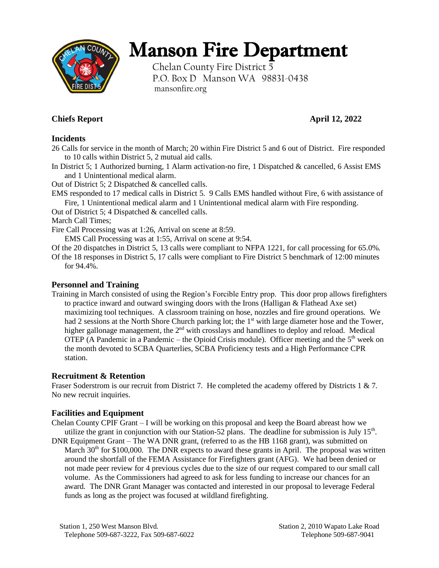

# Manson Fire Department

Chelan County Fire District 5 P.O. Box D Manson WA 98831-0438 mansonfire.org

## **Chiefs Report April 12, 2022**

#### **Incidents**

26 Calls for service in the month of March; 20 within Fire District 5 and 6 out of District. Fire responded to 10 calls within District 5, 2 mutual aid calls.

In District 5; 1 Authorized burning, 1 Alarm activation-no fire, 1 Dispatched & cancelled, 6 Assist EMS and 1 Unintentional medical alarm.

Out of District 5; 2 Dispatched & cancelled calls.

EMS responded to 17 medical calls in District 5. 9 Calls EMS handled without Fire, 6 with assistance of Fire, 1 Unintentional medical alarm and 1 Unintentional medical alarm with Fire responding.

Out of District 5; 4 Dispatched & cancelled calls.

March Call Times;

Fire Call Processing was at 1:26, Arrival on scene at 8:59.

EMS Call Processing was at 1:55, Arrival on scene at 9:54.

Of the 20 dispatches in District 5, 13 calls were compliant to NFPA 1221, for call processing for 65.0%.

Of the 18 responses in District 5, 17 calls were compliant to Fire District 5 benchmark of 12:00 minutes for 94.4%.

#### **Personnel and Training**

Training in March consisted of using the Region's Forcible Entry prop. This door prop allows firefighters to practice inward and outward swinging doors with the Irons (Halligan & Flathead Axe set) maximizing tool techniques. A classroom training on hose, nozzles and fire ground operations. We had 2 sessions at the North Shore Church parking lot; the  $1<sup>st</sup>$  with large diameter hose and the Tower, higher gallonage management, the  $2<sup>nd</sup>$  with crosslays and handlines to deploy and reload. Medical OTEP (A Pandemic in a Pandemic – the Opioid Crisis module). Officer meeting and the  $5<sup>th</sup>$  week on the month devoted to SCBA Quarterlies, SCBA Proficiency tests and a High Performance CPR station.

### **Recruitment & Retention**

Fraser Soderstrom is our recruit from District 7. He completed the academy offered by Districts 1 & 7. No new recruit inquiries.

#### **Facilities and Equipment**

Chelan County CPIF Grant – I will be working on this proposal and keep the Board abreast how we utilize the grant in conjunction with our Station-52 plans. The deadline for submission is July  $15<sup>th</sup>$ .

DNR Equipment Grant – The WA DNR grant, (referred to as the HB 1168 grant), was submitted on March  $30<sup>th</sup>$  for \$100,000. The DNR expects to award these grants in April. The proposal was written around the shortfall of the FEMA Assistance for Firefighters grant (AFG). We had been denied or not made peer review for 4 previous cycles due to the size of our request compared to our small call volume. As the Commissioners had agreed to ask for less funding to increase our chances for an award. The DNR Grant Manager was contacted and interested in our proposal to leverage Federal funds as long as the project was focused at wildland firefighting.